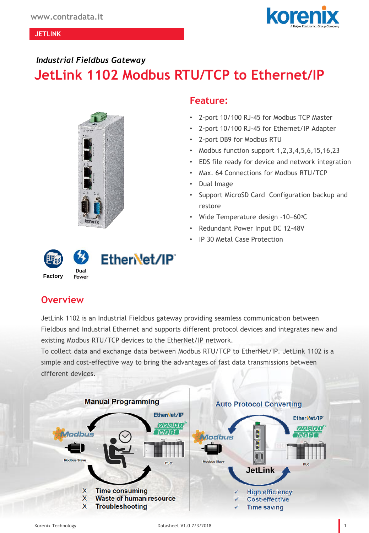#### **JETLINK**

#### *Industrial Fieldbus Gateway*

# **JetLink 1102 Modbus RTU/TCP to Ethernet/IP**



### **Feature:**

- 2-port 10/100 RJ-45 for Modbus TCP Master
- 2-port 10/100 RJ-45 for Ethernet/IP Adapter
- 2-port DB9 for Modbus RTU
- Modbus function support 1,2,3,4,5,6,15,16,23
- EDS file ready for device and network integration
- Max. 64 Connections for Modbus RTU/TCP
- Dual Image
- Support MicroSD Card Configuration backup and restore
- Wide Temperature design -10~60°C
- Redundant Power Input DC 12-48V
- IP 30 Metal Case Protection



## **Overview**

JetLink 1102 is an Industrial Fieldbus gateway providing seamless communication between Fieldbus and Industrial Ethernet and supports different protocol devices and integrates new and existing Modbus RTU/TCP devices to the EtherNet/IP network.

To collect data and exchange data between Modbus RTU/TCP to EtherNet/IP. JetLink 1102 is a simple and cost-effective way to bring the advantages of fast data transmissions between different devices.

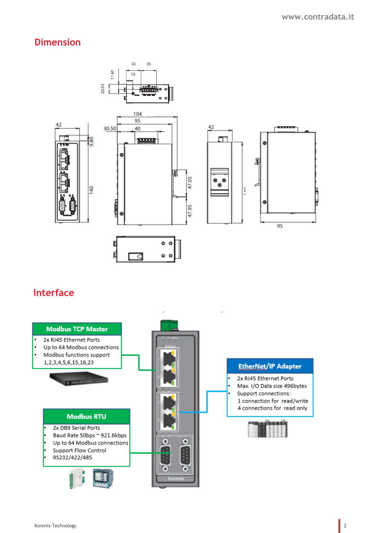## **Dimension**